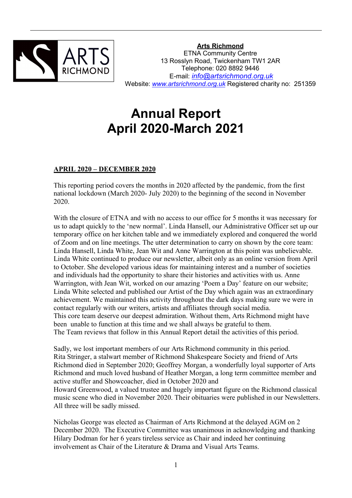

**Arts Richmond** ETNA Community Centre 13 Rosslyn Road, Twickenham TW1 2AR Telephone: 020 8892 9446 E-mail: *[info@artsrichmond.org.uk](mailto:info@artsrichmond.org.uk)* Website: *[www.artsrichmond.org.uk](http://www.artsrichmond.org.uk)* Registered charity no: 251359

# **Annual Report April 2020-March 2021**

# **APRIL 2020 – DECEMBER 2020**

This reporting period covers the months in 2020 affected by the pandemic, from the first national lockdown (March 2020- July 2020) to the beginning of the second in November 2020.

With the closure of ETNA and with no access to our office for 5 months it was necessary for us to adapt quickly to the 'new normal'. Linda Hansell, our Administrative Officer set up our temporary office on her kitchen table and we immediately explored and conquered the world of Zoom and on line meetings. The utter determination to carry on shown by the core team: Linda Hansell, Linda White, Jean Wit and Anne Warrington at this point was unbelievable. Linda White continued to produce our newsletter, albeit only as an online version from April to October. She developed various ideas for maintaining interest and a number of societies and individuals had the opportunity to share their histories and activities with us. Anne Warrington, with Jean Wit, worked on our amazing 'Poem a Day' feature on our website; Linda White selected and published our Artist of the Day which again was an extraordinary achievement. We maintained this activity throughout the dark days making sure we were in contact regularly with our writers, artists and affiliates through social media. This core team deserve our deepest admiration. Without them, Arts Richmond might have been unable to function at this time and we shall always be grateful to them. The Team reviews that follow in this Annual Report detail the activities of this period.

Sadly, we lost important members of our Arts Richmond community in this period.<br>Rita Stringer, a stalwart member of Richmond Shakespeare Society and friend of Arts Richmond died in September 2020; Geoffrey Morgan, a wonderfully loyal supporter of Arts Richmond and much loved husband of Heather Morgan, a long term committee member and active stuffer and Showcoacher, died in October 2020 and

Howard Greenwood, a valued trustee and hugely important figure on the Richmond classical music scene who died in November 2020. Their obituaries were published in our Newsletters. All three will be sadly missed.

Nicholas George was elected as Chairman of Arts Richmond at the delayed AGM on 2 December 2020. The Executive Committee was unanimous in acknowledging and thanking Hilary Dodman for her 6 years tireless service as Chair and indeed her continuing involvement as Chair of the Literature & Drama and Visual Arts Teams.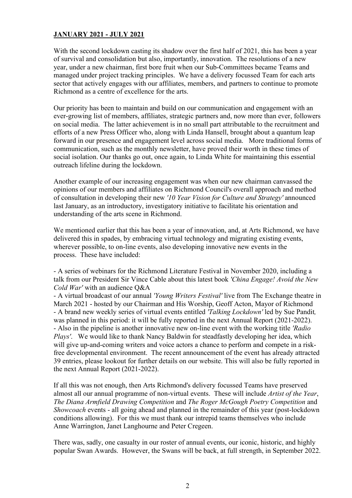# **JANUARY 2021 - JULY 2021**

With the second lockdown casting its shadow over the first half of 2021, this has been a year of survival and consolidation but also, importantly, innovation. The resolutions of a new year, under a new chairman, first bore fruit when our Sub-Committees became Teams and managed under project tracking principles. We have a delivery focussed Team for each arts sector that actively engages with our affiliates, members, and partners to continue to promote Richmond as a centre of excellence for the arts.

Our priority has been to maintain and build on our communication and engagement with an ever-growing list of members, affiliates, strategic partners and, now more than ever, followers on social media. The latter achievement is in no small partattributable to the recruitment and efforts of a new Press Officer who, along with Linda Hansell, brought about a quantum leap forward in our presence and engagement level across social media. More traditional forms of communication, such as the monthly newsletter, have proved their worth in these times of social isolation. Our thanks go out, once again, to Linda White for maintaining this essential outreach lifeline during the lockdown.

Another example of our increasing engagement was when our new chairman canvassed the opinions of our members and affiliates on Richmond Council's overall approach and method of consultation in developing their new *'10 Year Vision for Culture and Strategy'* announced last January, as an introductory, investigatory initiative to facilitate his orientation and understanding of the arts scene in Richmond.

We mentioned earlier that this has been a year of innovation, and, at Arts Richmond, we have delivered this in spades, by embracing virtual technology and migrating existing events, wherever possible, to on-line events, also developing innovative new events in the process. These have included:

- A series of webinars for the Richmond Literature Festival in November 2020, including a talk from our President Sir Vince Cable about this latest book *'China Engage! Avoid the New Cold War'* with an audience Q&A

- A virtual broadcast of our annual *'Young Writers Festival'* live from The Exchange theatre in March 2021 - hosted by our Chairman and His Worship, Geoff Acton, Mayor of Richmond - A brand new weekly series of virtual events entitled *'Talking Lockdown'* led by Sue Pandit*,* was planned in this period: it will be fully reported in the next Annual Report (2021-2022). - Also in the pipeline is another innovative new on-line event with the working title *'Radio Plays'*. We would like to thank Nancy Baldwin for steadfastly developing her idea, which will give up-and-coming writers and voice actors a chance to perform and compete in a riskfree developmental environment. The recent announcement of the event has already attracted 39 entries, please lookout for further details on our website. This will also be fully reported in the next Annual Report (2021-2022).

If all this was not enough, then Arts Richmond's delivery focussed Teams have preserved almost all our annual programme of non-virtual events. These will include *Artist of the Year*, *The Diana Armfield Drawing Competition* and *The Roger McGough Poetry Competition* and *Showcoach* events - all going ahead and planned in the remainder of this year (post-lockdown conditions allowing). For this we must thank our intrepid teams themselves who include Anne Warrington, Janet Langhourne and Peter Cregeen.

There was, sadly, one casualty in our roster of annual events, our iconic, historic, and highly popular Swan Awards. However, the Swans will be back, at full strength, in September 2022.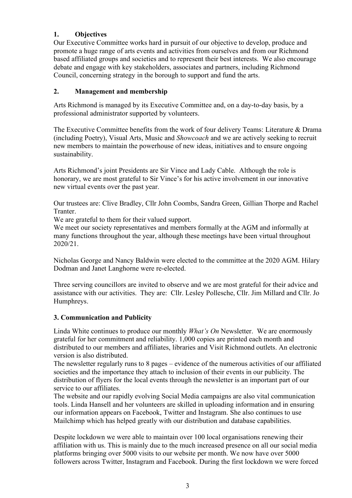# **1. Objectives**

Our Executive Committee works hard in pursuit of our objective to develop, produce and promote a huge range of arts events and activities from ourselves and from our Richmond based affiliated groups and societies and to represent their best interests. We also encourage debate and engage with key stakeholders, associates and partners, including Richmond Council, concerning strategy in the borough to support and fund the arts.

# **2. Management and membership**

Arts Richmond is managed by its Executive Committee and, on a day-to-day basis, by a professional administrator supported by volunteers.

The Executive Committee benefits from the work of four delivery Teams: Literature & Drama (including Poetry), Visual Arts, Music and *Showcoach* and we are actively seeking to recruit new members to maintain the powerhouse of new ideas, initiatives and to ensure ongoing sustainability.

Arts Richmond's joint Presidents are Sir Vince and Lady Cable. Although the role is honorary, we are most grateful to Sir Vince's for his active involvement in our innovative new virtual events over the past year.

Our trustees are: Clive Bradley, Cllr John Coombs, Sandra Green, Gillian Thorpe and Rachel Tranter.

We are grateful to them for their valued support.

We meet our society representatives and members formally at the AGM and informally at many functions throughout the year, although these meetings have been virtual throughout 2020/21.

Nicholas George and Nancy Baldwin were elected to the committee at the 2020 AGM. Hilary Dodman and Janet Langhorne were re-elected.

Three serving councillors are invited to observe and we are most grateful for their advice and assistance with our activities. They are: Cllr. Lesley Pollesche, Cllr. Jim Millard and Cllr. Jo Humphreys.

# **3. Communication and Publicity**

Linda White continues to produce our monthly *What's On* Newsletter. We are enormously grateful for her commitment and reliability. 1,000 copies are printed each month and distributed to our members and affiliates, libraries and Visit Richmond outlets. An electronic version is also distributed.

The newsletter regularly runs to 8 pages – evidence of the numerous activities of our affiliated societies and the importance they attach to inclusion of their events in our publicity. The distribution of flyers for the local events through the newsletter is an important part of our service to our affiliates.

The website and our rapidly evolving Social Media campaigns are also vital communication tools. Linda Hansell and her volunteers are skilled in uploading information and in ensuring our information appears on Facebook, Twitter and Instagram. She also continues to use Mailchimp which has helped greatly with our distribution and database capabilities.

Despite lockdown we were able to maintain over 100 local organisations renewing their affiliation with us. This is mainly due to the much increased presence on all our social media platforms bringing over 5000 visits to our website per month. We now have over 5000 followers across Twitter, Instagram and Facebook. During the first lockdown we were forced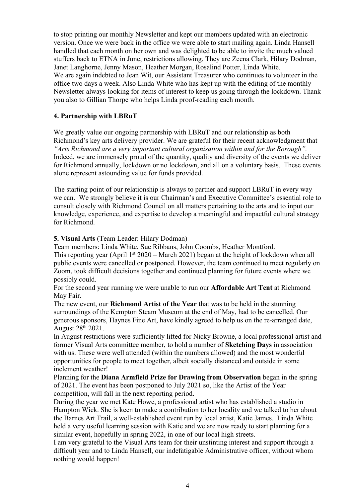to stop printing our monthly Newsletter and kept our members updated with an electronic version. Once we were back in the office we were able to start mailing again. Linda Hansell handled that each month on her own and was delighted to be able to invite the much valued stuffers back to ETNA in June, restrictions allowing. They are Zeena Clark, Hilary Dodman, Janet Langhorne, Jenny Mason, Heather Morgan, Rosalind Potter, Linda White. We are again indebted to Jean Wit, our Assistant Treasurer who continues to volunteer in the office two days a week. Also Linda White who has kept up with the editing of the monthly Newsletter always looking for items of interest to keep us going through the lockdown. Thank you also to Gillian Thorpe who helps Linda proof-reading each month.

# **4. Partnership with LBRuT**

We greatly value our ongoing partnership with LBRuT and our relationship as both Richmond's key arts delivery provider. We are grateful for their recent acknowledgment that *"Arts Richmond are a very important cultural organisation within and for the Borough".* Indeed, we are immensely proud of the quantity, quality and diversity of the events we deliver for Richmond annually, lockdown or no lockdown, and all on a voluntary basis. These events alone represent astounding value for funds provided.

The starting point of our relationship is always to partner and support LBRuT in every way we can. We strongly believe it is our Chairman's and Executive Committee's essential role to consult closely with Richmond Council on all matters pertaining to the arts and to input our knowledge, experience, and expertise to develop a meaningful and impactful cultural strategy for Richmond.

**5. Visual Arts** (Team Leader: Hilary Dodman)

Team members: Linda White, Sue Ribbans, John Coombs, Heather Montford.

This reporting year (April 1<sup>st</sup> 2020 – March 2021) began at the height of lockdown when all public events were cancelled or postponed. However, the team continued to meet regularly on Zoom, took difficult decisions together and continued planning for future events where we possibly could.

For the second year running we were unable to run our**Affordable Art Tent** at Richmond May Fair.

The new event, our **Richmond Artist of the Year** that was to be held in the stunning surroundings of the Kempton Steam Museum at the end of May, had to be cancelled. Our generous sponsors, Haynes Fine Art, have kindly agreed to help us on the re-arranged date, August 28 th 2021.

In August restrictions were sufficiently lifted for Nicky Browne, a local professional artist and former Visual Arts committee member, to hold a number of **Sketching Days** in association with us. These were well attended (within the numbers allowed) and the most wonderful opportunities for people to meet together, albeit socially distanced and outside in some inclement weather!

Planning for the **Diana Armfield Prize for Drawing from Observation** began in the spring of 2021. The event has been postponed to July 2021 so, like the Artist of the Year competition, will fall in the next reporting period.

During the year we met Kate Howe, a professional artist who has established a studio in Hampton Wick. She is keen to make a contribution to her locality and we talked to her about the Barnes Art Trail, a well-established event run by local artist, Katie James. Linda White held a very useful learning session with Katie and we are now ready to start planning for a similar event, hopefully in spring 2022, in one of our local high streets.

I am very grateful to the Visual Arts team for their unstinting interest and support through a difficult year and to Linda Hansell, our indefatigable Administrative officer, without whom nothing would happen!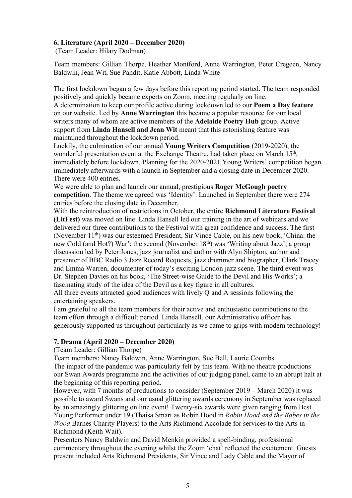#### **6. Literature (April 2020 – December 2020)**

(Team Leader: Hilary Dodman)

Team members: Gillian Thorpe, Heather Montford, Anne Warrington, Peter Cregeen, Nancy Baldwin, Jean Wit, Sue Pandit, Katie Abbott, Linda White

The first lockdown began a few days before this reporting period started. The team responded positively and quickly became experts on Zoom, meeting regularly on line.

A determination to keep our profile active during lockdown led to our **Poem a Day feature** on our website. Led by **Anne Warrington** this became a popular resource for our local writers many of whom are active members ofthe **Adelaide Poetry Hub** group. Active support from **Linda Hansell and Jean Wit** meant that this astonishing feature was maintained throughout the lockdown period.

Luckily, the culmination of our annual **Young Writers Competition** (2019-2020), the wonderful presentation event at the Exchange Theatre, had taken place on March 15<sup>th</sup>,  $,$ immediately before lockdown. Planning for the 2020-2021 Young Writers' competition began immediately afterwards with a launch in September and a closing date in December 2020. There were 400 entries.

We were able to plan and launch our annual, prestigious **Roger McGough poetry competition**. The theme we agreed was 'Identity'. Launched in September there were 274 entries before the closing date in December.

With the reintroduction of restrictions in October, the entire **Richmond Literature Festival (LitFest)** was moved on line. Linda Hansell led our training in the art of webinars and we delivered our three contributions to the Festival with great confidence and success. The first (November 11<sup>th</sup>) was our esteemed President, Sir Vince Cable, on his new book, 'China: the new Cold (and Hot?) War'; the second (November 18<sup>th</sup>) was 'Writing about Jazz', a group discussion led by Peter Jones, jazz journalist and author with Alyn Shipton, author and presenter of BBC Radio 3 Jazz Record Requests, jazz drummer and biographer, Clark Tracey and Emma Warren, documenter of today's exciting London jazz scene. The third event was Dr. Stephen Davies on his book, 'The Street-wise Guide to the Devil and His Works'; a fascinating study of the idea of the Devil as a key figure in all cultures.

All three events attracted good audiences with lively Q and A sessions following the entertaining speakers.

I am grateful to all the team members for their active and enthusiastic contributions to the team effort through a difficult period. Linda Hansell, our Administrative officer has generously supported us throughout particularly as we came to grips with modern technology!

#### **7. Drama (April 2020 – December 2020)**

(Team Leader: Gillian Thorpe)

Team members: Nancy Baldwin, Anne Warrington, Sue Bell, Laurie Coombs The impact of the pandemic was particularly felt by this team. With no theatre productions our Swan Awards programme and the activities of our judging panel, came to an abrupt halt at the beginning of this reporting period.

However, with 7 months of productions to consider (September  $2019 -$  March 2020) it was possible to award Swans and our usual glittering awards ceremony in September was replaced by an amazingly glittering on line event! Twenty-six awards were given ranging from Best Young Performer under 19 (Thaisa Smart as Robin Hood in *Robin Hood and the Babes in the Wood* Barnes Charity Players) to the Arts Richmond Accolade for services to the Arts in Richmond (Keith Wait).

Presenters Nancy Baldwin and David Menkin provided a spell-binding, professional commentary throughout the evening whilst the Zoom 'chat' reflected the excitement. Guests present included Arts Richmond Presidents, Sir Vince and Lady Cable and the Mayor of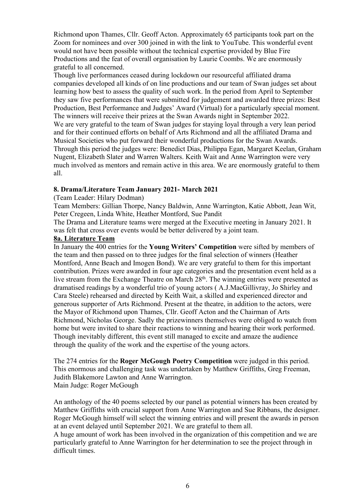Richmond upon Thames, Cllr. Geoff Acton. Approximately 65 participants took part on the Zoom for nominees and over 300 joined in with the link to YouTube. This wonderful event would not have been possible without the technical expertise provided by Blue Fire Productions and the feat of overall organisation by Laurie Coombs. We are enormously grateful to all concerned.

Though live performances ceased during lockdown our resourceful affiliated drama companies developed all kinds of on line productions and our team of Swan judges set about learning how best to assess the quality of such work. In the period from April to September they saw five performances that were submitted for judgement and awarded three prizes: Best Production, Best Performance and Judges' Award (Virtual) for a particularly special moment. The winners will receive their prizes at the Swan Awards night in September 2022. We are very grateful to the team of Swan judges for staying loyal through a very lean period and for their continued efforts on behalf of Arts Richmond and all the affiliated Drama and Musical Societies who put forward their wonderful productions for the Swan Awards. Through this period the judges were: Benedict Dias, Philippa Egan, Margaret Keelan, Graham Nugent, Elizabeth Slater and Warren Walters. Keith Wait and Anne Warrington were very much involved as mentors and remain active in this area. We are enormously grateful to them all.

#### **8. Drama/Literature Team January 2021- March 2021**

#### (Team Leader: Hilary Dodman)

Team Members: Gillian Thorpe, Nancy Baldwin, Anne Warrington, Katie Abbott, Jean Wit, Peter Cregeen, Linda White, Heather Montford, Sue Pandit

The Drama and Literature teams were merged at the Executive meeting in January 2021. It was felt that cross over events would be better delivered by a joint team.

#### **8a. Literature Team**

In January the 400 entries for the **Young Writers' Competition** weresifted by members of the team and then passed on to three judges for the final selection of winners (Heather Montford, Anne Beach and Imogen Bond). We are very grateful to them for this important contribution. Prizes were awarded in four age categories and the presentation event held as a live stream from the Exchange Theatre on March 28<sup>th</sup>. The winning entries were presented as dramatised readings by a wonderful trio of young actors ( A.J.MacGillivray, Jo Shirley and Cara Steele) rehearsed and directed by Keith Wait, a skilled and experienced director and generous supporter of Arts Richmond. Present at the theatre, in addition to the actors, were the Mayor of Richmond upon Thames, Cllr. Geoff Acton and the Chairman of Arts Richmond, Nicholas George. Sadly the prizewinners themselves were obliged to watch from home but were invited to share their reactions to winning and hearing their work performed. Though inevitably different, this event still managed to excite and amaze the audience through the quality of the work and the expertise of the young actors.

The <sup>274</sup> entries for the **Roger McGough Poetry Competition** were judged in this period.This enormous and challenging task was undertaken by Matthew Griffiths, Greg Freeman, Judith Blakemore Lawton and Anne Warrington. Main Judge: Roger McGough

An anthology of the 40 poems selected by our panel as potential winners has been created by Matthew Griffiths with crucial support from Anne Warrington and Sue Ribbans, the designer. Roger McGough himself will select the winning entries and will present the awards in person at an event delayed until September 2021. We are grateful to them all.

A huge amount of work has been involved in the organization of this competition and we are particularly grateful to Anne Warrington for her determination to see the project through in difficult times.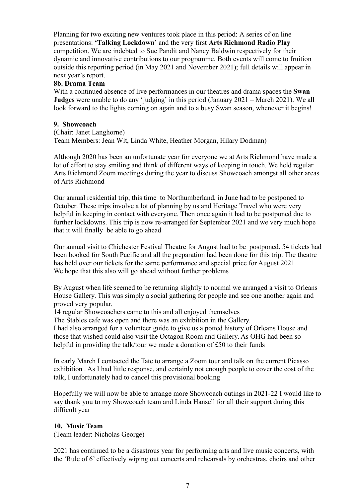Planning for two exciting new ventures took place in this period: A series of on line presentations: **'Talking Lockdown'** and the very first **Arts Richmond Radio Play** competition. We are indebted to Sue Pandit and Nancy Baldwin respectively for their dynamic and innovative contributions to our programme. Both events will come to fruition outside this reporting period (in May 2021 and November 2021); full details will appear in next year's report.

# **8b. Drama Team**

With a continued absence of live performances in our theatres and drama spaces the **Swan Judges** were unable to do any 'judging' in this period (January 2021 – March 2021). We all look forward to the lights coming on again and to a busy Swan season, whenever it begins!

# **9. Showcoach**

(Chair: Janet Langhorne) Team Members: Jean Wit, Linda White, Heather Morgan, Hilary Dodman)

Although 2020 has been an unfortunate year for everyone we at Arts Richmond have made a lot of effort to stay smiling and think of different ways of keeping in touch. We held regular Arts Richmond Zoom meetings during the year to discuss Showcoach amongst all other areas of Arts Richmond

Our annual residential trip, this time to Northumberland, in June had to be postponed to October. These trips involve a lot of planning by us and Heritage Travel who were very helpful in keeping in contact with everyone. Then once again it had to be postponed due to further lockdowns. This trip is now re-arranged for September 2021 and we very much hope that it will finally be able to go ahead

Our annual visit to Chichester Festival Theatre for August had to be postponed. 54 tickets had been booked for South Pacific and all the preparation had been done for this trip. The theatre has held over our tickets for the same performance and special price for August 2021 We hope that this also will go ahead without further problems

By August when life seemed to be returning slightly to normal we arranged a visit to Orleans House Gallery. This was simply a social gathering for people and see one another again and proved very popular.

14 regular Showcoachers came to this and all enjoyed themselves

The Stables cafe was open and there was an exhibition in the Gallery.

I had also arranged for a volunteer guide to give us a potted history of Orleans House and those that wished could also visit the Octagon Room and Gallery. As OHG had been so helpful in providing the talk/tour we made a donation of  $£50$  to their funds

In early March I contacted the Tate to arrange a Zoom tour and talk on the current Picasso exhibition . As I had little response, and certainly not enough people to cover the cost of the talk, I unfortunately had to cancel this provisional booking

Hopefully we will now be able to arrange more Showcoach outings in 2021-22 I would like to say thank you to my Showcoach team and Linda Hansell for all their support during this difficult year

# **10. Music Team**

(Team leader: Nicholas George)

2021 has continued to be a disastrous year for performing arts and live music concerts, with the 'Rule of 6' effectively wiping out concerts and rehearsals by orchestras, choirs and other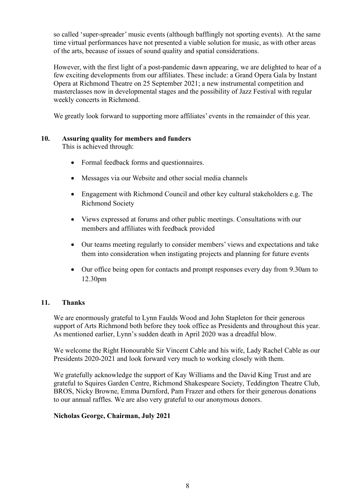so called 'super-spreader' music events (although bafflingly not sporting events). At the same time virtual performances have not presented a viable solution for music, as with other areas of the arts, because of issues of sound quality and spatial considerations.

However, with the first light of a post-pandemic dawn appearing, we are delighted to hear of a few exciting developments from our affiliates. These include: a Grand Opera Gala by Instant Opera at Richmond Theatre on 25 September 2021; a new instrumental competition and masterclasses now in developmental stages and the possibility of Jazz Festival with regular weekly concerts in Richmond.

We greatly look forward to supporting more affiliates' events in the remainder of this year.

# **10. Assuring quality for members and funders**

This is achieved through:

- Formal feedback forms and questionnaires.
- Messages via our Website and other social media channels
- Engagement with Richmond Council and other key cultural stakeholders e.g. The Richmond Society
- Views expressed at forums and other public meetings. Consultations with our members and affiliates with feedback provided
- Our teams meeting regularly to consider members' views and expectations and take them into consideration when instigating projects and planning for future events
- Our office being open for contacts and prompt responses every day from 9.30am to 12.30pm

#### **11. Thanks**

We are enormously grateful to Lynn Faulds Wood and John Stapleton for their generous support of Arts Richmond both before they took office as Presidents and throughout this year. As mentioned earlier, Lynn's sudden death in April 2020 was a dreadful blow.

We welcome the Right Honourable Sir Vincent Cable and his wife, Lady Rachel Cable as our Presidents 2020-2021 and look forward very much to working closely with them.

We gratefully acknowledge the support of Kay Williams and the David King Trust and are grateful to Squires Garden Centre, Richmond Shakespeare Society, Teddington Theatre Club, BROS, Nicky Browne, Emma Durnford, Pam Frazer and others for their generous donations to our annual raffles. We are also very grateful to our anonymous donors.

# **Nicholas George, Chairman, July 2021**